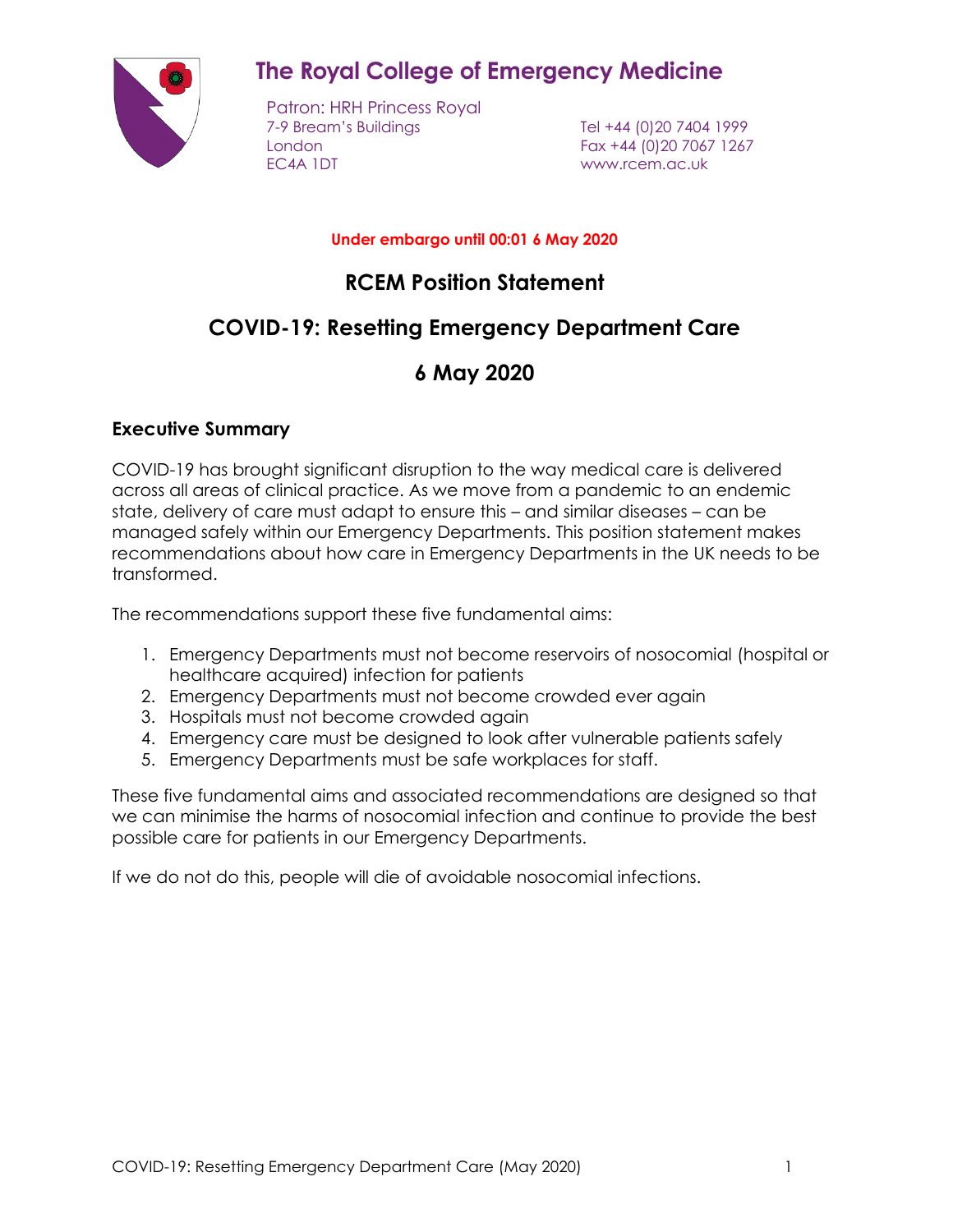

# **The Royal College of Emergency Medicine**

Patron: HRH Princess Royal 7-9 Bream's Buildings Tel +44 (0)20 7404 1999 London Fax +44 (0)20 7067 1267 EC4A 1DT www.rcem.ac.uk

#### **Under embargo until 00:01 6 May 2020**

## **RCEM Position Statement**

# **COVID-19: Resetting Emergency Department Care**

# **6 May 2020**

### **Executive Summary**

COVID-19 has brought significant disruption to the way medical care is delivered across all areas of clinical practice. As we move from a pandemic to an endemic state, delivery of care must adapt to ensure this – and similar diseases – can be managed safely within our Emergency Departments. This position statement makes recommendations about how care in Emergency Departments in the UK needs to be transformed.

The recommendations support these five fundamental aims:

- 1. Emergency Departments must not become reservoirs of nosocomial (hospital or healthcare acquired) infection for patients
- 2. Emergency Departments must not become crowded ever again
- 3. Hospitals must not become crowded again
- 4. Emergency care must be designed to look after vulnerable patients safely
- 5. Emergency Departments must be safe workplaces for staff.

These five fundamental aims and associated recommendations are designed so that we can minimise the harms of nosocomial infection and continue to provide the best possible care for patients in our Emergency Departments.

If we do not do this, people will die of avoidable nosocomial infections.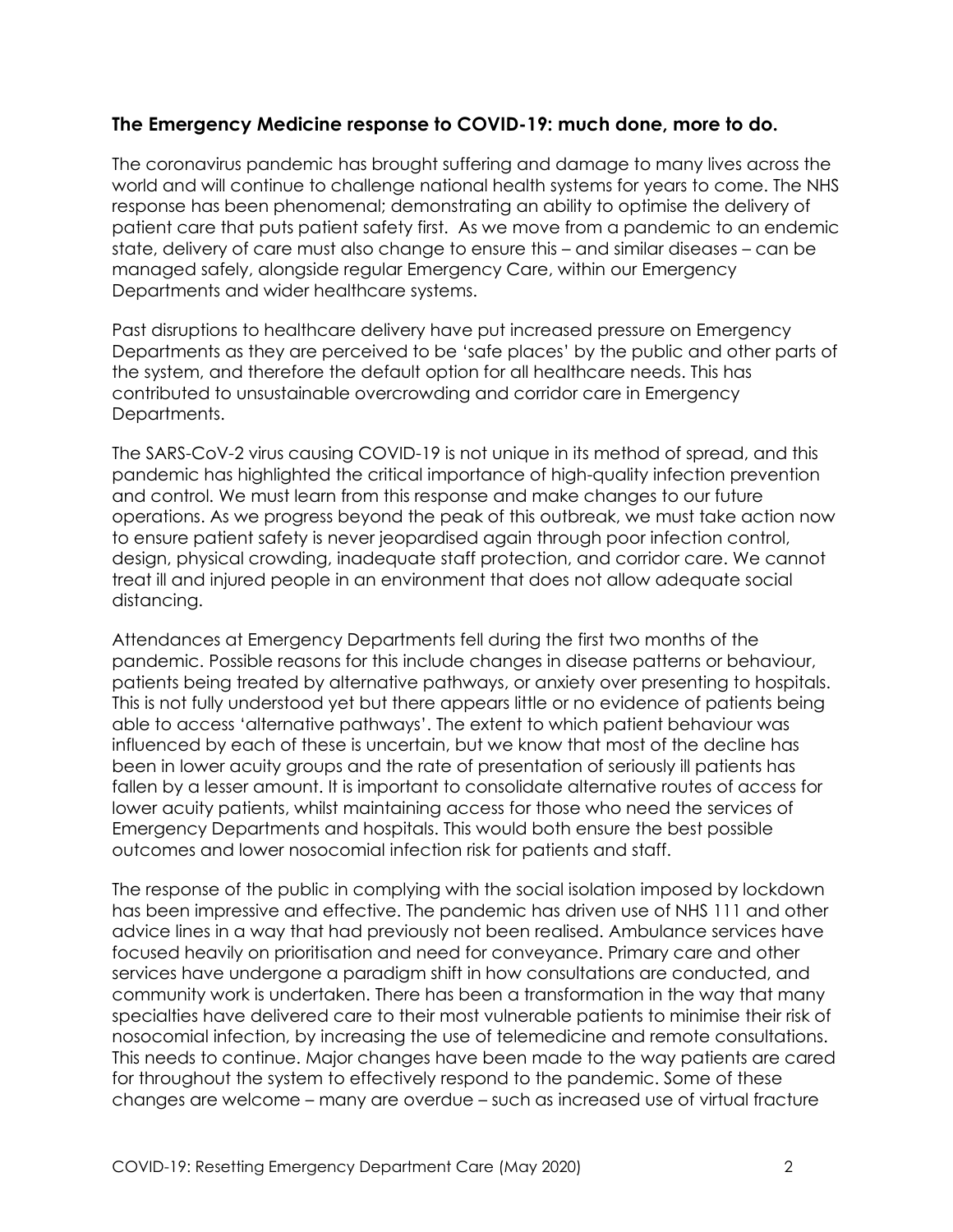### **The Emergency Medicine response to COVID-19: much done, more to do.**

The coronavirus pandemic has brought suffering and damage to many lives across the world and will continue to challenge national health systems for years to come. The NHS response has been phenomenal; demonstrating an ability to optimise the delivery of patient care that puts patient safety first. As we move from a pandemic to an endemic state, delivery of care must also change to ensure this – and similar diseases – can be managed safely, alongside regular Emergency Care, within our Emergency Departments and wider healthcare systems.

Past disruptions to healthcare delivery have put increased pressure on Emergency Departments as they are perceived to be 'safe places' by the public and other parts of the system, and therefore the default option for all healthcare needs. This has contributed to unsustainable overcrowding and corridor care in Emergency Departments.

The SARS-CoV-2 virus causing COVID-19 is not unique in its method of spread, and this pandemic has highlighted the critical importance of high-quality infection prevention and control. We must learn from this response and make changes to our future operations. As we progress beyond the peak of this outbreak, we must take action now to ensure patient safety is never jeopardised again through poor infection control, design, physical crowding, inadequate staff protection, and corridor care. We cannot treat ill and injured people in an environment that does not allow adequate social distancing.

Attendances at Emergency Departments fell during the first two months of the pandemic. Possible reasons for this include changes in disease patterns or behaviour, patients being treated by alternative pathways, or anxiety over presenting to hospitals. This is not fully understood yet but there appears little or no evidence of patients being able to access 'alternative pathways'. The extent to which patient behaviour was influenced by each of these is uncertain, but we know that most of the decline has been in lower acuity groups and the rate of presentation of seriously ill patients has fallen by a lesser amount. It is important to consolidate alternative routes of access for lower acuity patients, whilst maintaining access for those who need the services of Emergency Departments and hospitals. This would both ensure the best possible outcomes and lower nosocomial infection risk for patients and staff.

The response of the public in complying with the social isolation imposed by lockdown has been impressive and effective. The pandemic has driven use of NHS 111 and other advice lines in a way that had previously not been realised. Ambulance services have focused heavily on prioritisation and need for conveyance. Primary care and other services have undergone a paradigm shift in how consultations are conducted, and community work is undertaken. There has been a transformation in the way that many specialties have delivered care to their most vulnerable patients to minimise their risk of nosocomial infection, by increasing the use of telemedicine and remote consultations. This needs to continue. Major changes have been made to the way patients are cared for throughout the system to effectively respond to the pandemic. Some of these changes are welcome – many are overdue – such as increased use of virtual fracture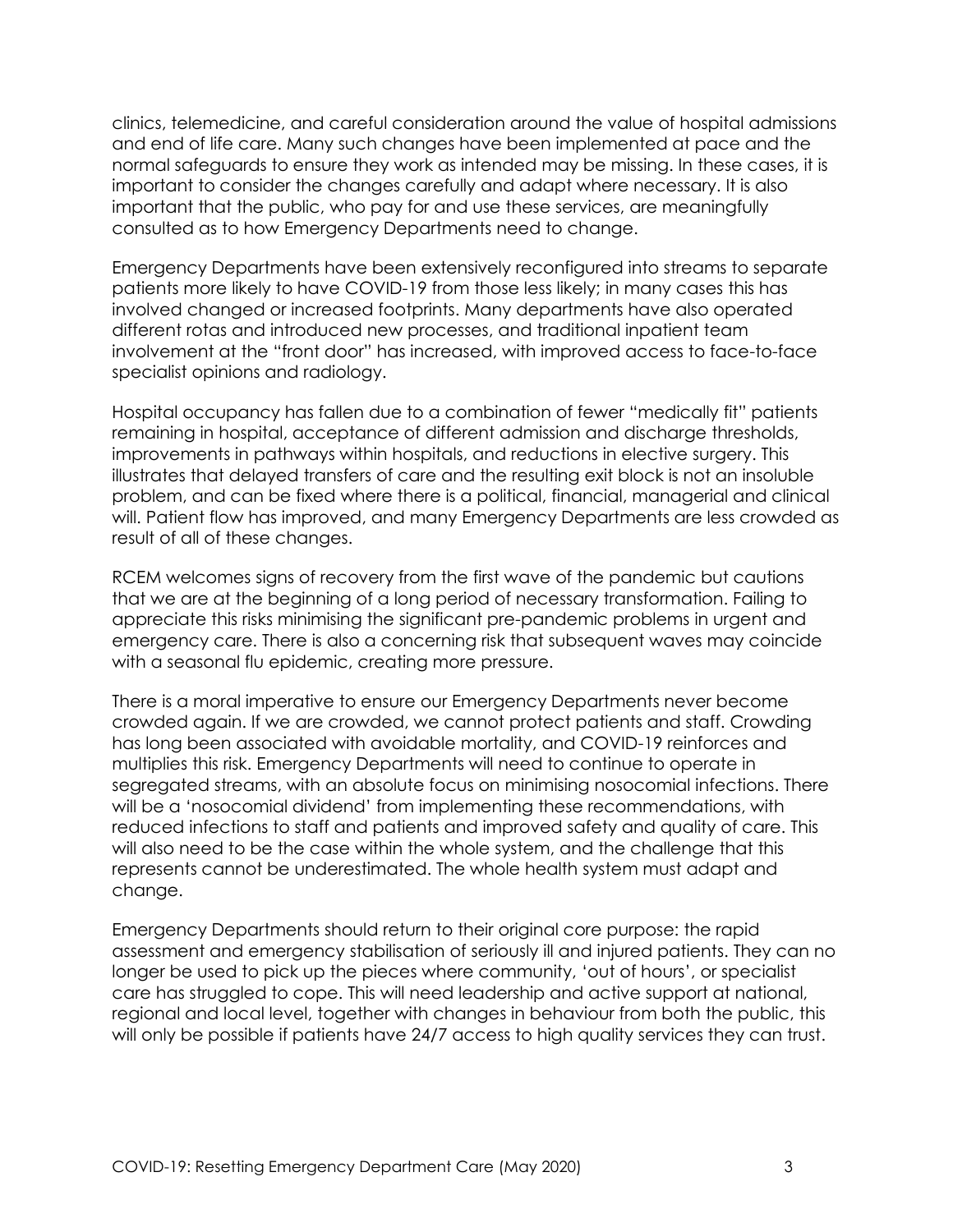clinics, telemedicine, and careful consideration around the value of hospital admissions and end of life care. Many such changes have been implemented at pace and the normal safeguards to ensure they work as intended may be missing. In these cases, it is important to consider the changes carefully and adapt where necessary. It is also important that the public, who pay for and use these services, are meaningfully consulted as to how Emergency Departments need to change.

Emergency Departments have been extensively reconfigured into streams to separate patients more likely to have COVID-19 from those less likely; in many cases this has involved changed or increased footprints. Many departments have also operated different rotas and introduced new processes, and traditional inpatient team involvement at the "front door" has increased, with improved access to face-to-face specialist opinions and radiology.

Hospital occupancy has fallen due to a combination of fewer "medically fit" patients remaining in hospital, acceptance of different admission and discharge thresholds, improvements in pathways within hospitals, and reductions in elective surgery. This illustrates that delayed transfers of care and the resulting exit block is not an insoluble problem, and can be fixed where there is a political, financial, managerial and clinical will. Patient flow has improved, and many Emergency Departments are less crowded as result of all of these changes.

RCEM welcomes signs of recovery from the first wave of the pandemic but cautions that we are at the beginning of a long period of necessary transformation. Failing to appreciate this risks minimising the significant pre-pandemic problems in urgent and emergency care. There is also a concerning risk that subsequent waves may coincide with a seasonal flu epidemic, creating more pressure.

There is a moral imperative to ensure our Emergency Departments never become crowded again. If we are crowded, we cannot protect patients and staff. Crowding has long been associated with avoidable mortality, and COVID-19 reinforces and multiplies this risk. Emergency Departments will need to continue to operate in segregated streams, with an absolute focus on minimising nosocomial infections. There will be a 'nosocomial dividend' from implementing these recommendations, with reduced infections to staff and patients and improved safety and quality of care. This will also need to be the case within the whole system, and the challenge that this represents cannot be underestimated. The whole health system must adapt and change.

Emergency Departments should return to their original core purpose: the rapid assessment and emergency stabilisation of seriously ill and injured patients. They can no longer be used to pick up the pieces where community, 'out of hours', or specialist care has struggled to cope. This will need leadership and active support at national, regional and local level, together with changes in behaviour from both the public, this will only be possible if patients have 24/7 access to high quality services they can trust.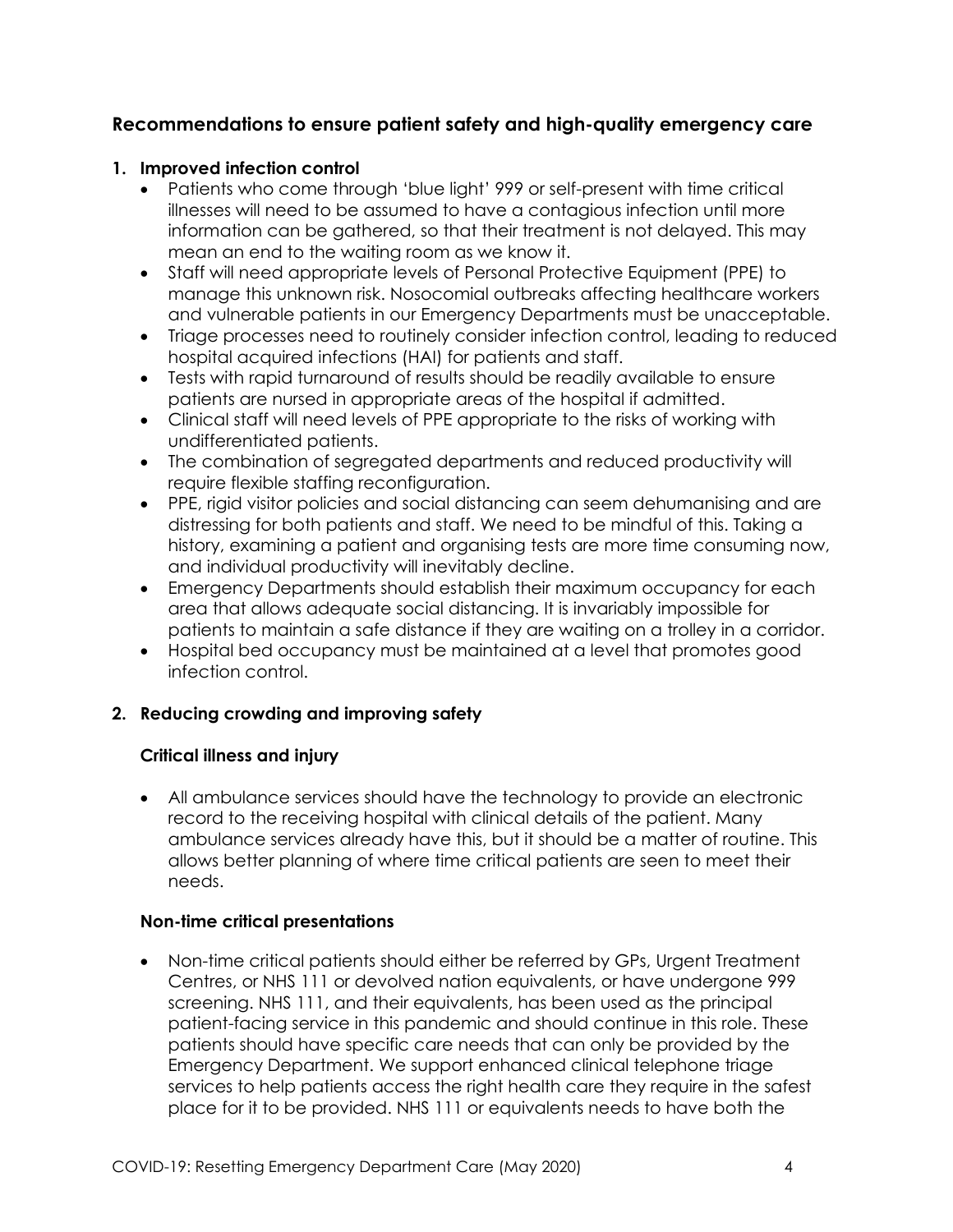### **Recommendations to ensure patient safety and high-quality emergency care**

#### **1. Improved infection control**

- Patients who come through 'blue light' 999 or self-present with time critical illnesses will need to be assumed to have a contagious infection until more information can be gathered, so that their treatment is not delayed. This may mean an end to the waiting room as we know it.
- Staff will need appropriate levels of Personal Protective Equipment (PPE) to manage this unknown risk. Nosocomial outbreaks affecting healthcare workers and vulnerable patients in our Emergency Departments must be unacceptable.
- Triage processes need to routinely consider infection control, leading to reduced hospital acquired infections (HAI) for patients and staff.
- Tests with rapid turnaround of results should be readily available to ensure patients are nursed in appropriate areas of the hospital if admitted.
- Clinical staff will need levels of PPE appropriate to the risks of working with undifferentiated patients.
- The combination of segregated departments and reduced productivity will require flexible staffing reconfiguration.
- PPE, rigid visitor policies and social distancing can seem dehumanising and are distressing for both patients and staff. We need to be mindful of this. Taking a history, examining a patient and organising tests are more time consuming now, and individual productivity will inevitably decline.
- Emergency Departments should establish their maximum occupancy for each area that allows adequate social distancing. It is invariably impossible for patients to maintain a safe distance if they are waiting on a trolley in a corridor.
- Hospital bed occupancy must be maintained at a level that promotes good infection control.

#### **2. Reducing crowding and improving safety**

#### **Critical illness and injury**

• All ambulance services should have the technology to provide an electronic record to the receiving hospital with clinical details of the patient. Many ambulance services already have this, but it should be a matter of routine. This allows better planning of where time critical patients are seen to meet their needs.

#### **Non-time critical presentations**

• Non-time critical patients should either be referred by GPs, Urgent Treatment Centres, or NHS 111 or devolved nation equivalents, or have undergone 999 screening. NHS 111, and their equivalents, has been used as the principal patient-facing service in this pandemic and should continue in this role. These patients should have specific care needs that can only be provided by the Emergency Department. We support enhanced clinical telephone triage services to help patients access the right health care they require in the safest place for it to be provided. NHS 111 or equivalents needs to have both the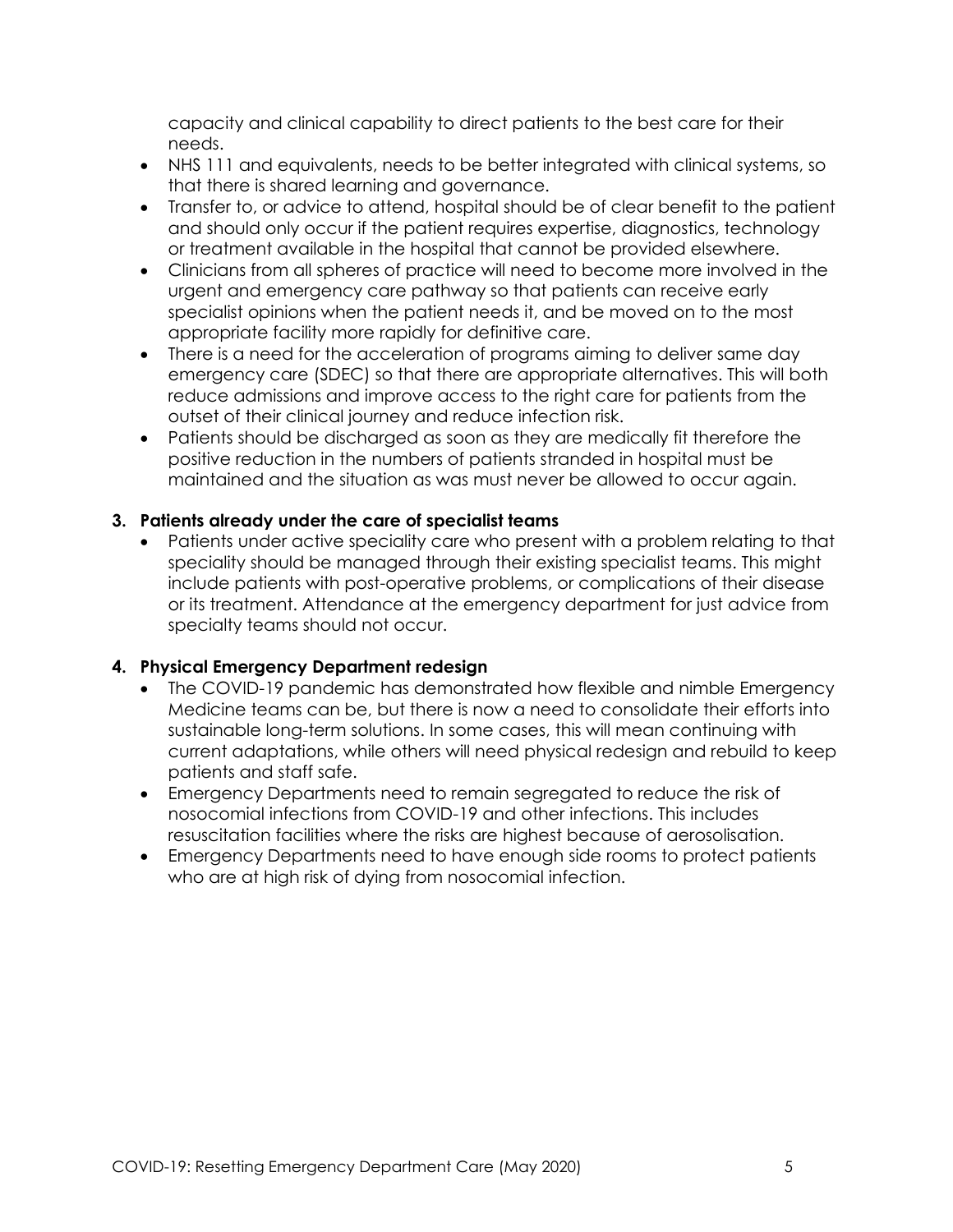capacity and clinical capability to direct patients to the best care for their needs.

- NHS 111 and equivalents, needs to be better integrated with clinical systems, so that there is shared learning and governance.
- Transfer to, or advice to attend, hospital should be of clear benefit to the patient and should only occur if the patient requires expertise, diagnostics, technology or treatment available in the hospital that cannot be provided elsewhere.
- Clinicians from all spheres of practice will need to become more involved in the urgent and emergency care pathway so that patients can receive early specialist opinions when the patient needs it, and be moved on to the most appropriate facility more rapidly for definitive care.
- There is a need for the acceleration of programs aiming to deliver same day emergency care (SDEC) so that there are appropriate alternatives. This will both reduce admissions and improve access to the right care for patients from the outset of their clinical journey and reduce infection risk.
- Patients should be discharged as soon as they are medically fit therefore the positive reduction in the numbers of patients stranded in hospital must be maintained and the situation as was must never be allowed to occur again.

#### **3. Patients already under the care of specialist teams**

• Patients under active speciality care who present with a problem relating to that speciality should be managed through their existing specialist teams. This might include patients with post-operative problems, or complications of their disease or its treatment. Attendance at the emergency department for just advice from specialty teams should not occur.

#### **4. Physical Emergency Department redesign**

- The COVID-19 pandemic has demonstrated how flexible and nimble Emergency Medicine teams can be, but there is now a need to consolidate their efforts into sustainable long-term solutions. In some cases, this will mean continuing with current adaptations, while others will need physical redesign and rebuild to keep patients and staff safe.
- Emergency Departments need to remain segregated to reduce the risk of nosocomial infections from COVID-19 and other infections. This includes resuscitation facilities where the risks are highest because of aerosolisation.
- Emergency Departments need to have enough side rooms to protect patients who are at high risk of dying from nosocomial infection.